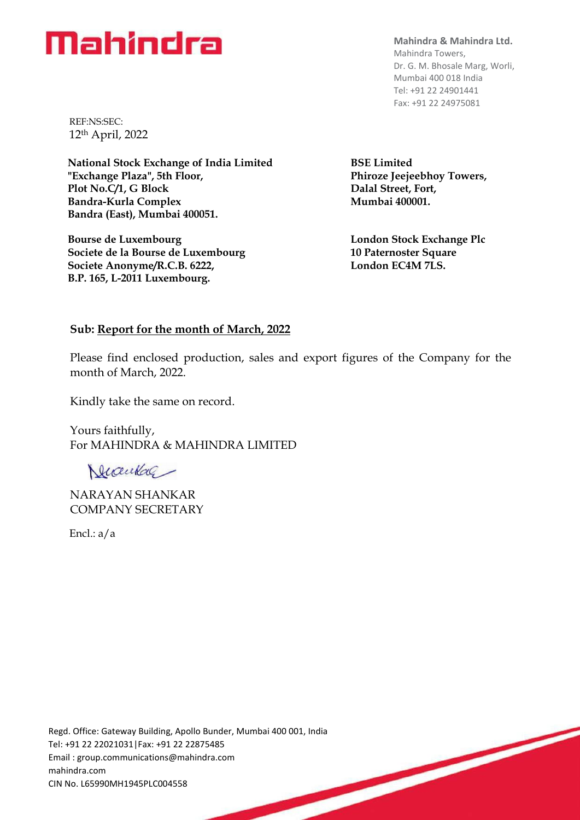## Mahindra

**Mahindra & Mahindra Ltd.**  Mahindra Towers, Dr. G. M. Bhosale Marg, Worli, Mumbai 400 018 India Tel: +91 22 24901441 Fax: +91 22 24975081

REF:NS:SEC: 12th April, 2022

**National Stock Exchange of India Limited "Exchange Plaza", 5th Floor, Plot No.C/1, G Block Bandra-Kurla Complex Bandra (East), Mumbai 400051.**

**Bourse de Luxembourg Societe de la Bourse de Luxembourg Societe Anonyme/R.C.B. 6222, B.P. 165, L-2011 Luxembourg.**

**BSE Limited Phiroze Jeejeebhoy Towers, Dalal Street, Fort, Mumbai 400001.**

**London Stock Exchange Plc 10 Paternoster Square London EC4M 7LS.**

## **Sub: Report for the month of March, 2022**

Please find enclosed production, sales and export figures of the Company for the month of March, 2022.

Kindly take the same on record.

Yours faithfully, For MAHINDRA & MAHINDRA LIMITED

Ducenkal

NARAYAN SHANKAR COMPANY SECRETARY

Encl.: a/a

Regd. Office: Gateway Building, Apollo Bunder, Mumbai 400 001, India<br>
Tel: +91 22 22021031|Fax: +91 22 22875485<br>
Email : group.communications@mahindra.com<br>
mahindra.com<br>
CIN No. L65990MH1945PLC004558 Tel: +91 22 22021031|Fax: +91 22 22875485 Email : [group.communications@mahindra.com](mailto:group.communications@mahindra.com) mahindra.com CIN No. L65990MH1945PLC004558